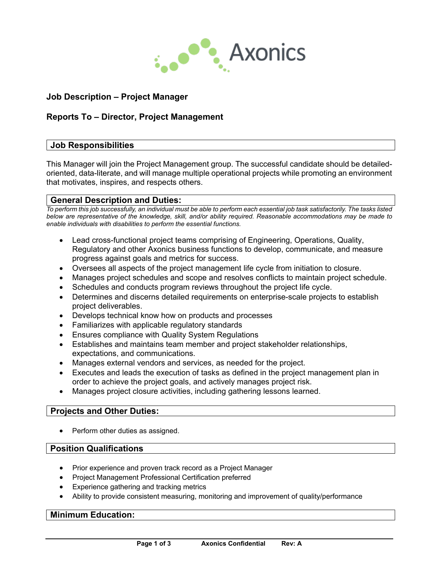

# **Job Description – Project Manager**

# **Reports To – Director, Project Management**

#### **Job Responsibilities**

This Manager will join the Project Management group. The successful candidate should be detailedoriented, data-literate, and will manage multiple operational projects while promoting an environment that motivates, inspires, and respects others.

#### **General Description and Duties:**

*To perform this job successfully, an individual must be able to perform each essential job task satisfactorily. The tasks listed below are representative of the knowledge, skill, and/or ability required. Reasonable accommodations may be made to enable individuals with disabilities to perform the essential functions.*

- Lead cross-functional project teams comprising of Engineering, Operations, Quality, Regulatory and other Axonics business functions to develop, communicate, and measure progress against goals and metrics for success.
- Oversees all aspects of the project management life cycle from initiation to closure.
- Manages project schedules and scope and resolves conflicts to maintain project schedule.
- Schedules and conducts program reviews throughout the project life cycle.
- Determines and discerns detailed requirements on enterprise-scale projects to establish project deliverables.
- Develops technical know how on products and processes
- Familiarizes with applicable regulatory standards
- Ensures compliance with Quality System Regulations
- Establishes and maintains team member and project stakeholder relationships, expectations, and communications.
- Manages external vendors and services, as needed for the project.
- Executes and leads the execution of tasks as defined in the project management plan in order to achieve the project goals, and actively manages project risk.
- Manages project closure activities, including gathering lessons learned.

#### **Projects and Other Duties:**

Perform other duties as assigned.

#### **Position Qualifications**

- Prior experience and proven track record as a Project Manager
- Project Management Professional Certification preferred
- Experience gathering and tracking metrics
- Ability to provide consistent measuring, monitoring and improvement of quality/performance

#### **Minimum Education:**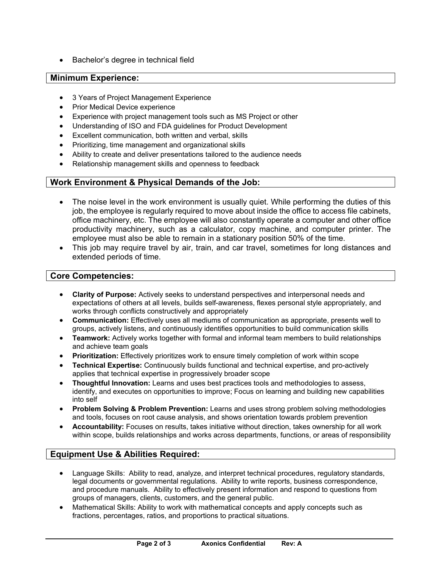• Bachelor's degree in technical field

### **Minimum Experience:**

- 3 Years of Project Management Experience
- Prior Medical Device experience
- Experience with project management tools such as MS Project or other
- Understanding of ISO and FDA guidelines for Product Development
- Excellent communication, both written and verbal, skills
- Prioritizing, time management and organizational skills
- Ability to create and deliver presentations tailored to the audience needs
- Relationship management skills and openness to feedback

## **Work Environment & Physical Demands of the Job:**

- The noise level in the work environment is usually quiet. While performing the duties of this job, the employee is regularly required to move about inside the office to access file cabinets, office machinery, etc. The employee will also constantly operate a computer and other office productivity machinery, such as a calculator, copy machine, and computer printer. The employee must also be able to remain in a stationary position 50% of the time.
- This job may require travel by air, train, and car travel, sometimes for long distances and extended periods of time.

#### **Core Competencies:**

- **Clarity of Purpose:** Actively seeks to understand perspectives and interpersonal needs and expectations of others at all levels, builds self-awareness, flexes personal style appropriately, and works through conflicts constructively and appropriately
- **Communication:** Effectively uses all mediums of communication as appropriate, presents well to groups, actively listens, and continuously identifies opportunities to build communication skills
- **Teamwork:** Actively works together with formal and informal team members to build relationships and achieve team goals
- **Prioritization:** Effectively prioritizes work to ensure timely completion of work within scope
- **Technical Expertise:** Continuously builds functional and technical expertise, and pro-actively applies that technical expertise in progressively broader scope
- **Thoughtful Innovation:** Learns and uses best practices tools and methodologies to assess, identify, and executes on opportunities to improve; Focus on learning and building new capabilities into self
- **Problem Solving & Problem Prevention:** Learns and uses strong problem solving methodologies and tools, focuses on root cause analysis, and shows orientation towards problem prevention
- **Accountability:** Focuses on results, takes initiative without direction, takes ownership for all work within scope, builds relationships and works across departments, functions, or areas of responsibility

## **Equipment Use & Abilities Required:**

- Language Skills: Ability to read, analyze, and interpret technical procedures, regulatory standards, legal documents or governmental regulations. Ability to write reports, business correspondence, and procedure manuals. Ability to effectively present information and respond to questions from groups of managers, clients, customers, and the general public.
- Mathematical Skills: Ability to work with mathematical concepts and apply concepts such as fractions, percentages, ratios, and proportions to practical situations.